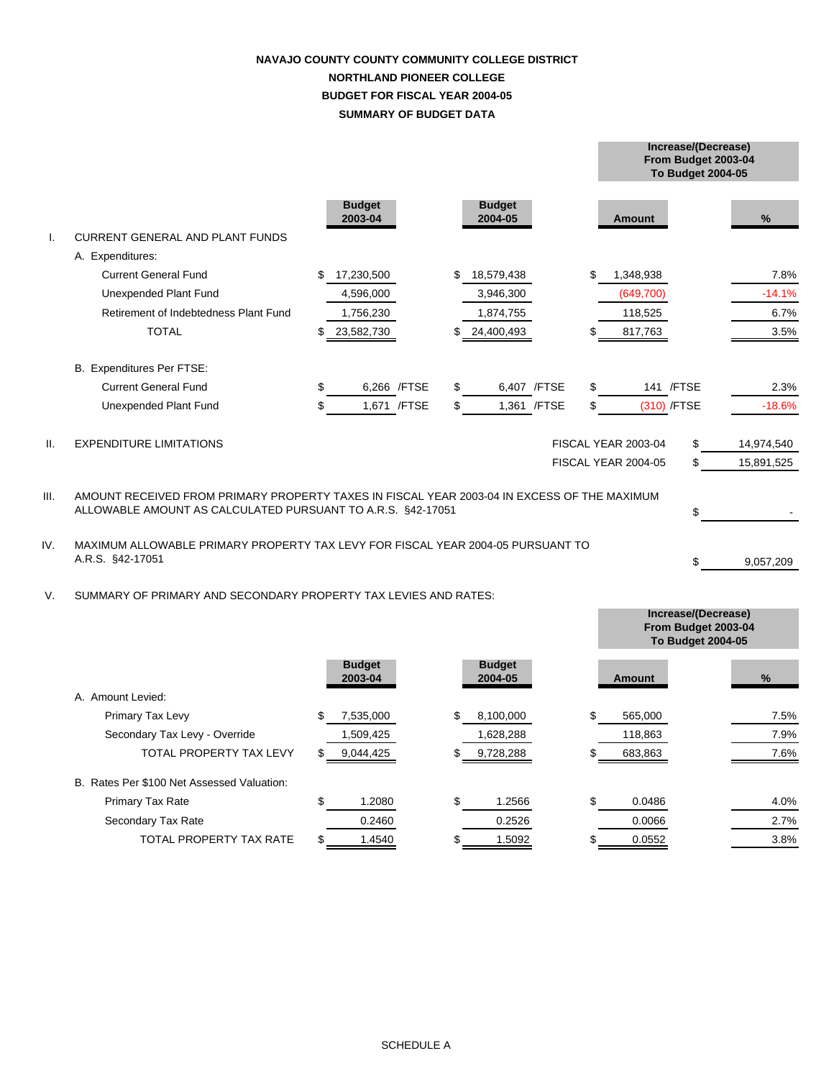# **SUMMARY OF BUDGET DATA NAVAJO COUNTY COUNTY COMMUNITY COLLEGE DISTRICT NORTHLAND PIONEER COLLEGE BUDGET FOR FISCAL YEAR 2004-05**

|                 |                                                                                                                                                            |                          |     |                          |                     | From Budget 2003-04<br><b>To Budget 2004-05</b> |            |
|-----------------|------------------------------------------------------------------------------------------------------------------------------------------------------------|--------------------------|-----|--------------------------|---------------------|-------------------------------------------------|------------|
|                 |                                                                                                                                                            | <b>Budget</b><br>2003-04 |     | <b>Budget</b><br>2004-05 | <b>Amount</b>       |                                                 | %          |
|                 | <b>CURRENT GENERAL AND PLANT FUNDS</b>                                                                                                                     |                          |     |                          |                     |                                                 |            |
|                 | A. Expenditures:                                                                                                                                           |                          |     |                          |                     |                                                 |            |
|                 | <b>Current General Fund</b>                                                                                                                                | \$<br>17,230,500         | \$. | 18,579,438               | \$<br>1,348,938     |                                                 | 7.8%       |
|                 | Unexpended Plant Fund                                                                                                                                      | 4,596,000                |     | 3,946,300                | (649, 700)          |                                                 | $-14.1%$   |
|                 | Retirement of Indebtedness Plant Fund                                                                                                                      | 1,756,230                |     | 1,874,755                | 118,525             |                                                 | 6.7%       |
|                 | <b>TOTAL</b>                                                                                                                                               | \$<br>23,582,730         |     | 24,400,493               | 817,763             |                                                 | 3.5%       |
|                 | B. Expenditures Per FTSE:                                                                                                                                  |                          |     |                          |                     |                                                 |            |
|                 | <b>Current General Fund</b>                                                                                                                                | \$<br>6,266 / FTSE       | \$  | 6,407 / FTSE             | \$<br>141 / FTSE    |                                                 | 2.3%       |
|                 | Unexpended Plant Fund                                                                                                                                      | \$<br>1,671 / FTSE       | \$  | 1,361 / FTSE             | \$<br>(310) /FTSE   |                                                 | $-18.6%$   |
| $\mathbf{II}$ . | <b>EXPENDITURE LIMITATIONS</b>                                                                                                                             |                          |     |                          | FISCAL YEAR 2003-04 | \$                                              | 14,974,540 |
|                 |                                                                                                                                                            |                          |     |                          | FISCAL YEAR 2004-05 | \$                                              | 15,891,525 |
| III.            | AMOUNT RECEIVED FROM PRIMARY PROPERTY TAXES IN FISCAL YEAR 2003-04 IN EXCESS OF THE MAXIMUM<br>ALLOWABLE AMOUNT AS CALCULATED PURSUANT TO A.R.S. §42-17051 |                          |     |                          |                     | \$                                              |            |
| IV.             | MAXIMUM ALLOWABLE PRIMARY PROPERTY TAX LEVY FOR FISCAL YEAR 2004-05 PURSUANT TO<br>A.R.S. §42-17051                                                        |                          |     |                          |                     | \$                                              | 9,057,209  |
| V.              | SUMMARY OF PRIMARY AND SECONDARY PROPERTY TAX LEVIES AND RATES:                                                                                            |                          |     |                          |                     |                                                 |            |

|                                            |                          |     |                          | Increase/(Decrease)<br>From Budget 2003-04<br><b>To Budget 2004-05</b> |      |
|--------------------------------------------|--------------------------|-----|--------------------------|------------------------------------------------------------------------|------|
|                                            | <b>Budget</b><br>2003-04 |     | <b>Budget</b><br>2004-05 | Amount                                                                 | %    |
| A. Amount Levied:                          |                          |     |                          |                                                                        |      |
| Primary Tax Levy                           | \$<br>7,535,000          | \$  | 8,100,000                | \$<br>565,000                                                          | 7.5% |
| Secondary Tax Levy - Override              | 1,509,425                |     | 1,628,288                | 118,863                                                                | 7.9% |
| TOTAL PROPERTY TAX LEVY                    | 9,044,425                | \$. | 9,728,288                | 683,863                                                                | 7.6% |
| B. Rates Per \$100 Net Assessed Valuation: |                          |     |                          |                                                                        |      |
| Primary Tax Rate                           | 1.2080                   | \$  | 1.2566                   | \$<br>0.0486                                                           | 4.0% |
| Secondary Tax Rate                         | 0.2460                   |     | 0.2526                   | 0.0066                                                                 | 2.7% |
| TOTAL PROPERTY TAX RATE                    | 1.4540                   |     | 1.5092                   | 0.0552                                                                 | 3.8% |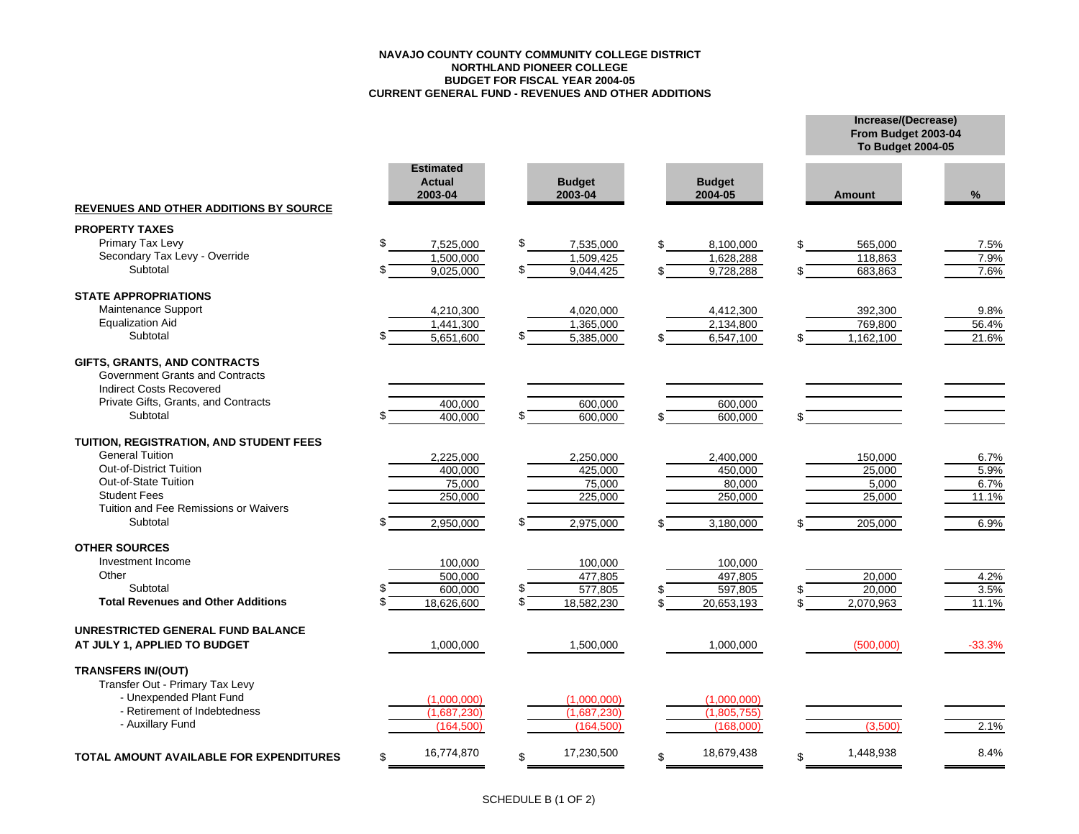#### **NAVAJO COUNTY COUNTY COMMUNITY COLLEGE DISTRICTNORTHLAND PIONEER COLLEGE BUDGET FOR FISCAL YEAR 2004-05 CURRENT GENERAL FUND - REVENUES AND OTHER ADDITIONS**

|                                                                                                    |                                              |    |                          |                          | From Budget 2003-04<br><b>To Budget 2004-05</b> |          |
|----------------------------------------------------------------------------------------------------|----------------------------------------------|----|--------------------------|--------------------------|-------------------------------------------------|----------|
| <b>REVENUES AND OTHER ADDITIONS BY SOURCE</b>                                                      | <b>Estimated</b><br><b>Actual</b><br>2003-04 |    | <b>Budget</b><br>2003-04 | <b>Budget</b><br>2004-05 | <b>Amount</b>                                   | %        |
| <b>PROPERTY TAXES</b>                                                                              |                                              |    |                          |                          |                                                 |          |
| Primary Tax Levy                                                                                   | \$<br>7,525,000                              | \$ | 7,535,000                | 8.100.000                | 565,000                                         | 7.5%     |
| Secondary Tax Levy - Override                                                                      | 1.500.000                                    |    | 1,509,425                | 1,628,288                | 118,863                                         | 7.9%     |
| Subtotal                                                                                           | 9,025,000                                    | \$ | 9,044,425                | 9,728,288                | 683,863                                         | 7.6%     |
| <b>STATE APPROPRIATIONS</b>                                                                        |                                              |    |                          |                          |                                                 |          |
| Maintenance Support                                                                                | 4,210,300                                    |    | 4,020,000                | 4,412,300                | 392,300                                         | 9.8%     |
| <b>Equalization Aid</b>                                                                            | 1,441,300                                    |    | 1,365,000                | 2,134,800                | 769,800                                         | 56.4%    |
| Subtotal                                                                                           | 5,651,600                                    |    | 5,385,000                | 6,547,100                | 1,162,100                                       | 21.6%    |
| GIFTS, GRANTS, AND CONTRACTS<br>Government Grants and Contracts<br><b>Indirect Costs Recovered</b> |                                              |    |                          |                          |                                                 |          |
| Private Gifts, Grants, and Contracts                                                               | 400,000                                      |    | 600,000                  | 600,000                  |                                                 |          |
| Subtotal                                                                                           | 400.000                                      |    | 600.000                  | 600.000                  |                                                 |          |
| TUITION, REGISTRATION, AND STUDENT FEES                                                            |                                              |    |                          |                          |                                                 |          |
| <b>General Tuition</b>                                                                             | 2,225,000                                    |    | 2,250,000                | 2,400,000                | 150,000                                         | 6.7%     |
| <b>Out-of-District Tuition</b>                                                                     | 400,000                                      |    | 425,000                  | 450,000                  | 25,000                                          | 5.9%     |
| Out-of-State Tuition                                                                               | 75,000                                       |    | 75,000                   | 80,000                   | 5,000                                           | 6.7%     |
| <b>Student Fees</b>                                                                                | 250,000                                      |    | 225,000                  | 250,000                  | 25,000                                          | 11.1%    |
| Tuition and Fee Remissions or Waivers                                                              |                                              |    |                          |                          |                                                 |          |
| Subtotal                                                                                           | 2,950,000                                    |    | 2,975,000                | 3,180,000                | 205,000                                         | 6.9%     |
| <b>OTHER SOURCES</b>                                                                               |                                              |    |                          |                          |                                                 |          |
| Investment Income                                                                                  | 100,000                                      |    | 100,000                  | 100,000                  |                                                 |          |
| Other                                                                                              | 500.000                                      |    | 477,805                  | 497,805                  | 20,000                                          | 4.2%     |
| Subtotal                                                                                           | 600,000                                      | S  | 577,805                  | 597,805                  | 20,000                                          | 3.5%     |
| <b>Total Revenues and Other Additions</b>                                                          | 18,626,600                                   | \$ | 18,582,230               | 20,653,193               | 2,070,963                                       | 11.1%    |
| UNRESTRICTED GENERAL FUND BALANCE                                                                  |                                              |    |                          |                          |                                                 |          |
| AT JULY 1, APPLIED TO BUDGET                                                                       | 1,000,000                                    |    | 1,500,000                | 1,000,000                | (500,000)                                       | $-33.3%$ |
| <b>TRANSFERS IN/(OUT)</b><br>Transfer Out - Primary Tax Levy                                       |                                              |    |                          |                          |                                                 |          |
| - Unexpended Plant Fund<br>- Retirement of Indebtedness                                            | (1,000,000)                                  |    | (1,000,000)              | (1,000,000)              |                                                 |          |
| - Auxillary Fund                                                                                   | (1,687,230)                                  |    | (1,687,230)              | (1,805,755)              |                                                 |          |
|                                                                                                    | (164, 500)                                   |    | (164, 500)               | (168.000)                | (3.500)                                         | 2.1%     |
| <b>TOTAL AMOUNT AVAILABLE FOR EXPENDITURES</b>                                                     | 16,774,870<br>\$                             | \$ | 17,230,500               | 18,679,438               | 1,448,938                                       | 8.4%     |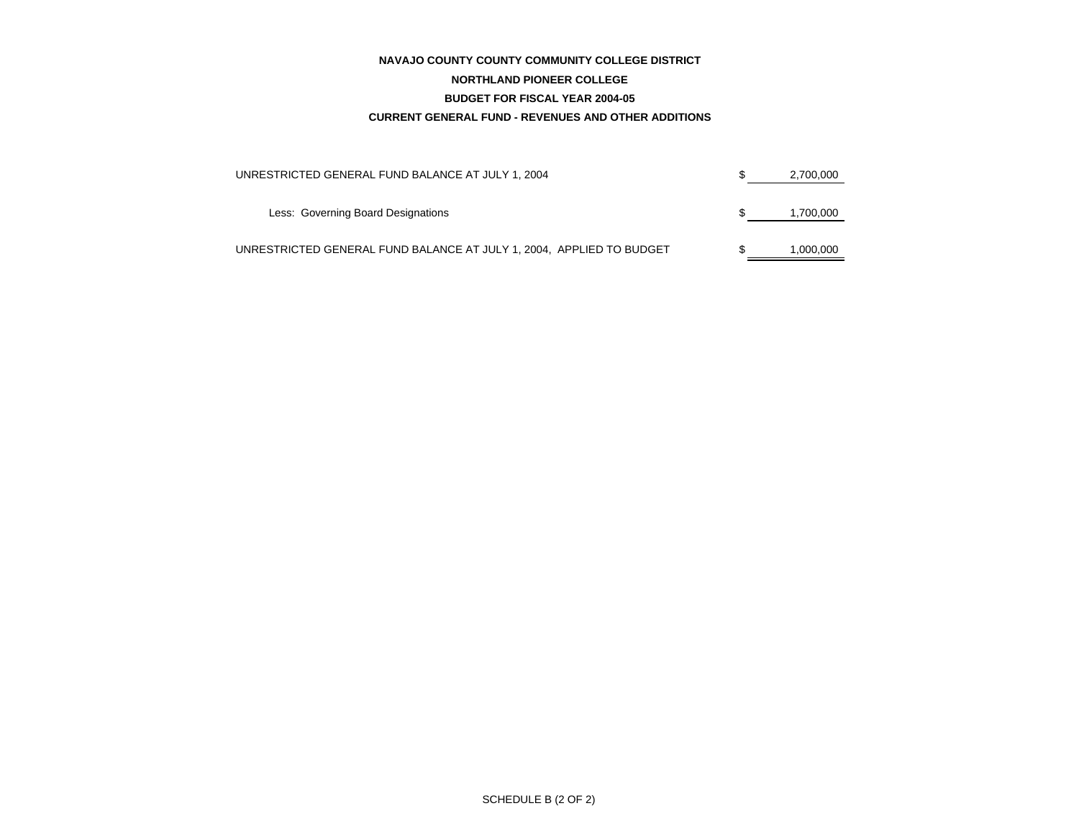#### **NAVAJO COUNTY COUNTY COMMUNITY COLLEGE DISTRICT**

#### **NORTHLAND PIONEER COLLEGE**

#### **BUDGET FOR FISCAL YEAR 2004-05**

#### **CURRENT GENERAL FUND - REVENUES AND OTHER ADDITIONS**

| UNRESTRICTED GENERAL FUND BALANCE AT JULY 1, 2004                    | 2,700,000 |
|----------------------------------------------------------------------|-----------|
| Less: Governing Board Designations                                   | 1,700,000 |
| UNRESTRICTED GENERAL FUND BALANCE AT JULY 1, 2004, APPLIED TO BUDGET | 1.000.000 |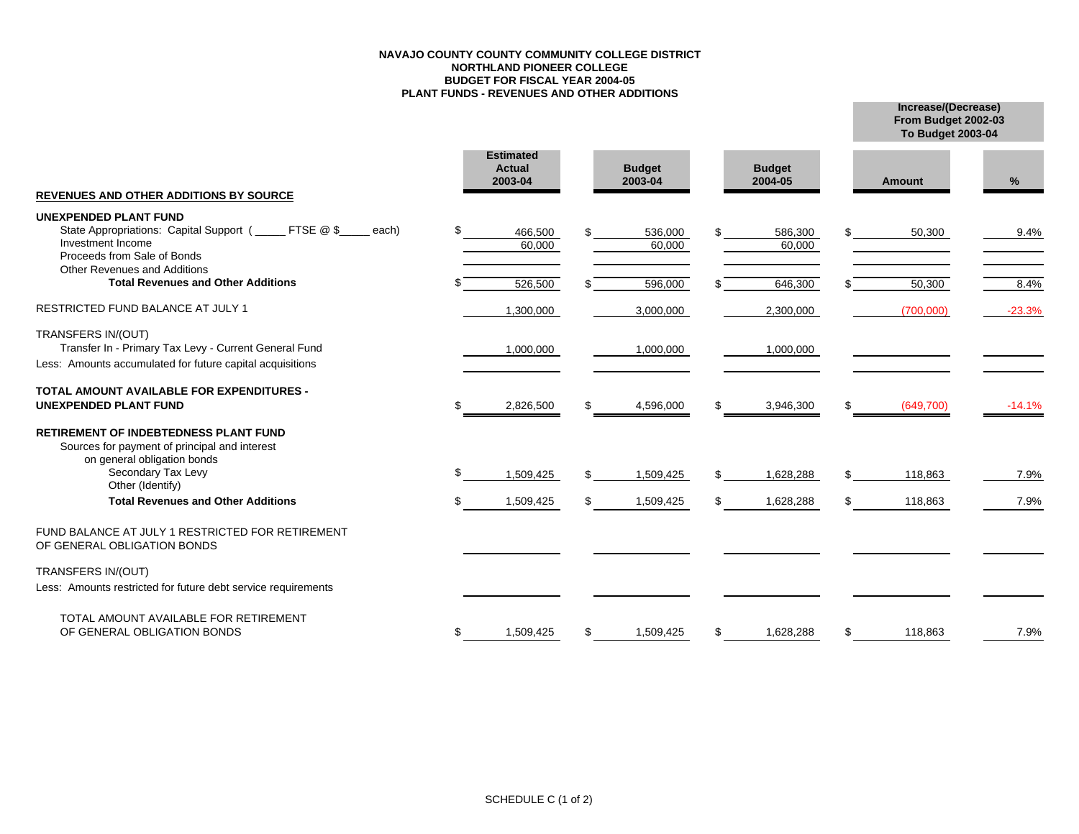#### **NAVAJO COUNTY COUNTY COMMUNITY COLLEGE DISTRICTNORTHLAND PIONEER COLLEGE BUDGET FOR FISCAL YEAR 2004-05 PLANT FUNDS - REVENUES AND OTHER ADDITIONS**

**Increase/(Decrease) To Budget 2003-04 From Budget 2002-03**

| <b>REVENUES AND OTHER ADDITIONS BY SOURCE</b>                                                                                                                          | <b>Estimated</b><br><b>Actual</b><br>2003-04 |    | <b>Budget</b><br>2003-04 |     | <b>Budget</b><br>2004-05 |     | <b>Amount</b> | %        |
|------------------------------------------------------------------------------------------------------------------------------------------------------------------------|----------------------------------------------|----|--------------------------|-----|--------------------------|-----|---------------|----------|
|                                                                                                                                                                        |                                              |    |                          |     |                          |     |               |          |
| <b>UNEXPENDED PLANT FUND</b><br>State Appropriations: Capital Support (<br>FTSE @ \$<br>each)<br>Investment Income<br>Proceeds from Sale of Bonds                      | 466,500<br>60,000                            |    | 536,000<br>60,000        |     | 586,300<br>60,000        |     | 50,300        | 9.4%     |
| Other Revenues and Additions                                                                                                                                           |                                              |    |                          |     |                          |     |               |          |
| <b>Total Revenues and Other Additions</b>                                                                                                                              | 526,500                                      |    | 596,000                  | \$  | 646,300                  |     | 50,300        | 8.4%     |
| <b>RESTRICTED FUND BALANCE AT JULY 1</b>                                                                                                                               | 1,300,000                                    |    | 3,000,000                |     | 2,300,000                |     | (700,000)     | $-23.3%$ |
| TRANSFERS IN/(OUT)                                                                                                                                                     |                                              |    |                          |     |                          |     |               |          |
| Transfer In - Primary Tax Levy - Current General Fund                                                                                                                  | 1,000,000                                    |    | 1,000,000                |     | 1,000,000                |     |               |          |
| Less: Amounts accumulated for future capital acquisitions                                                                                                              |                                              |    |                          |     |                          |     |               |          |
| <b>TOTAL AMOUNT AVAILABLE FOR EXPENDITURES -</b><br><b>UNEXPENDED PLANT FUND</b>                                                                                       | 2,826,500                                    | S. | 4,596,000                | \$  | 3,946,300                | \$  | (649,700)     | $-14.1%$ |
| <b>RETIREMENT OF INDEBTEDNESS PLANT FUND</b><br>Sources for payment of principal and interest<br>on general obligation bonds<br>Secondary Tax Levy<br>Other (Identify) | 1,509,425                                    | S. | 1,509,425                | \$  | 1,628,288                | \$  | 118,863       | 7.9%     |
| <b>Total Revenues and Other Additions</b>                                                                                                                              | 1,509,425                                    |    | 1,509,425                | \$. | 1,628,288                | \$. | 118,863       | 7.9%     |
| FUND BALANCE AT JULY 1 RESTRICTED FOR RETIREMENT<br>OF GENERAL OBLIGATION BONDS                                                                                        |                                              |    |                          |     |                          |     |               |          |
| TRANSFERS IN/(OUT)                                                                                                                                                     |                                              |    |                          |     |                          |     |               |          |
| Less: Amounts restricted for future debt service requirements                                                                                                          |                                              |    |                          |     |                          |     |               |          |
| TOTAL AMOUNT AVAILABLE FOR RETIREMENT<br>OF GENERAL OBLIGATION BONDS                                                                                                   | 1,509,425                                    |    | 1,509,425                | \$  | 1,628,288                | \$  | 118,863       | 7.9%     |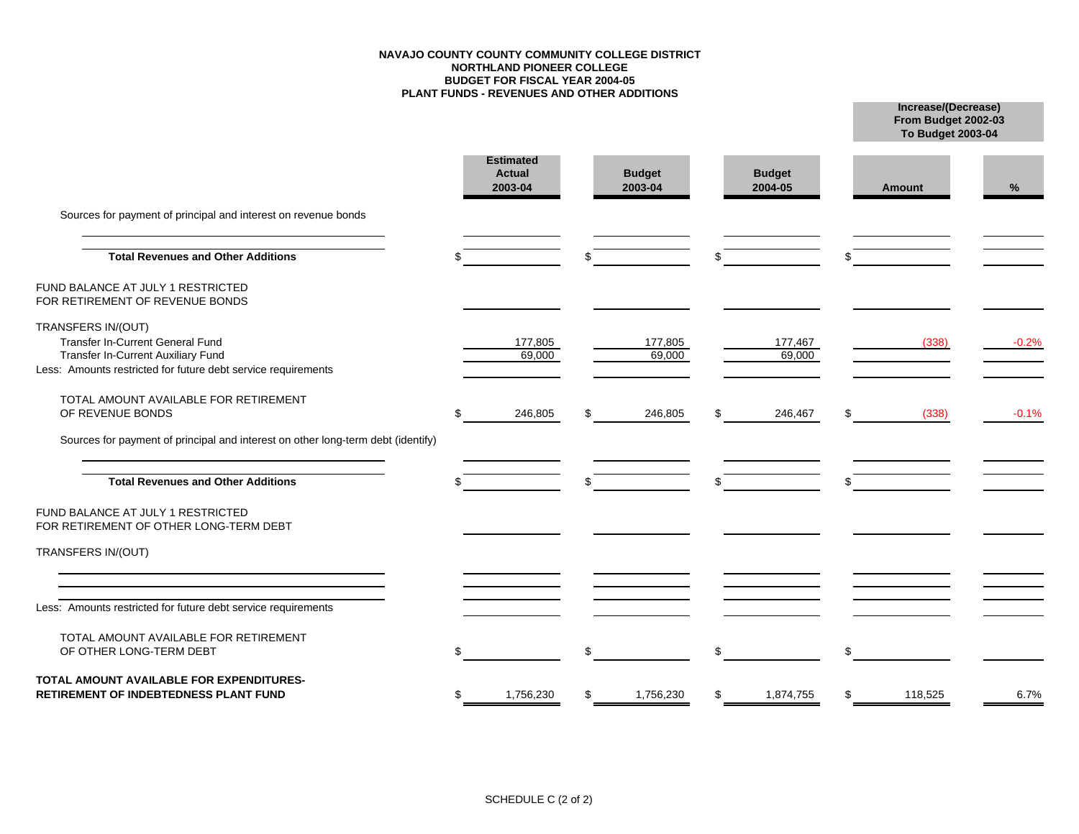#### **NAVAJO COUNTY COUNTY COMMUNITY COLLEGE DISTRICTNORTHLAND PIONEER COLLEGE BUDGET FOR FISCAL YEAR 2004-05 PLANT FUNDS - REVENUES AND OTHER ADDITIONS**

**From Budget 2002-03 To Budget 2003-04**

|                                                                                                                                                               | <b>Estimated</b><br><b>Actual</b><br>2003-04 |     | <b>Budget</b><br>2003-04 | <b>Budget</b><br>2004-05 | Amount        | %       |
|---------------------------------------------------------------------------------------------------------------------------------------------------------------|----------------------------------------------|-----|--------------------------|--------------------------|---------------|---------|
| Sources for payment of principal and interest on revenue bonds                                                                                                |                                              |     |                          |                          |               |         |
| <b>Total Revenues and Other Additions</b>                                                                                                                     |                                              |     |                          | \$                       |               |         |
| FUND BALANCE AT JULY 1 RESTRICTED<br>FOR RETIREMENT OF REVENUE BONDS                                                                                          |                                              |     |                          |                          |               |         |
| TRANSFERS IN/(OUT)<br>Transfer In-Current General Fund<br>Transfer In-Current Auxiliary Fund<br>Less: Amounts restricted for future debt service requirements | 177,805<br>69,000                            |     | 177,805<br>69,000        | 177,467<br>69,000        | (338)         | $-0.2%$ |
| TOTAL AMOUNT AVAILABLE FOR RETIREMENT<br>OF REVENUE BONDS                                                                                                     | 246,805                                      | \$. | 246,805                  | \$<br>246,467            | \$<br>(338)   | $-0.1%$ |
| Sources for payment of principal and interest on other long-term debt (identify)<br><b>Total Revenues and Other Additions</b>                                 |                                              |     |                          |                          |               |         |
| FUND BALANCE AT JULY 1 RESTRICTED<br>FOR RETIREMENT OF OTHER LONG-TERM DEBT                                                                                   |                                              |     |                          |                          |               |         |
| TRANSFERS IN/(OUT)                                                                                                                                            |                                              |     |                          |                          |               |         |
| Less: Amounts restricted for future debt service requirements                                                                                                 |                                              |     |                          |                          |               |         |
| TOTAL AMOUNT AVAILABLE FOR RETIREMENT<br>OF OTHER LONG-TERM DEBT                                                                                              |                                              | \$. |                          | \$                       | \$            |         |
| TOTAL AMOUNT AVAILABLE FOR EXPENDITURES-<br><b>RETIREMENT OF INDEBTEDNESS PLANT FUND</b>                                                                      | 1,756,230                                    |     | 1,756,230                | \$<br>1,874,755          | \$<br>118,525 | 6.7%    |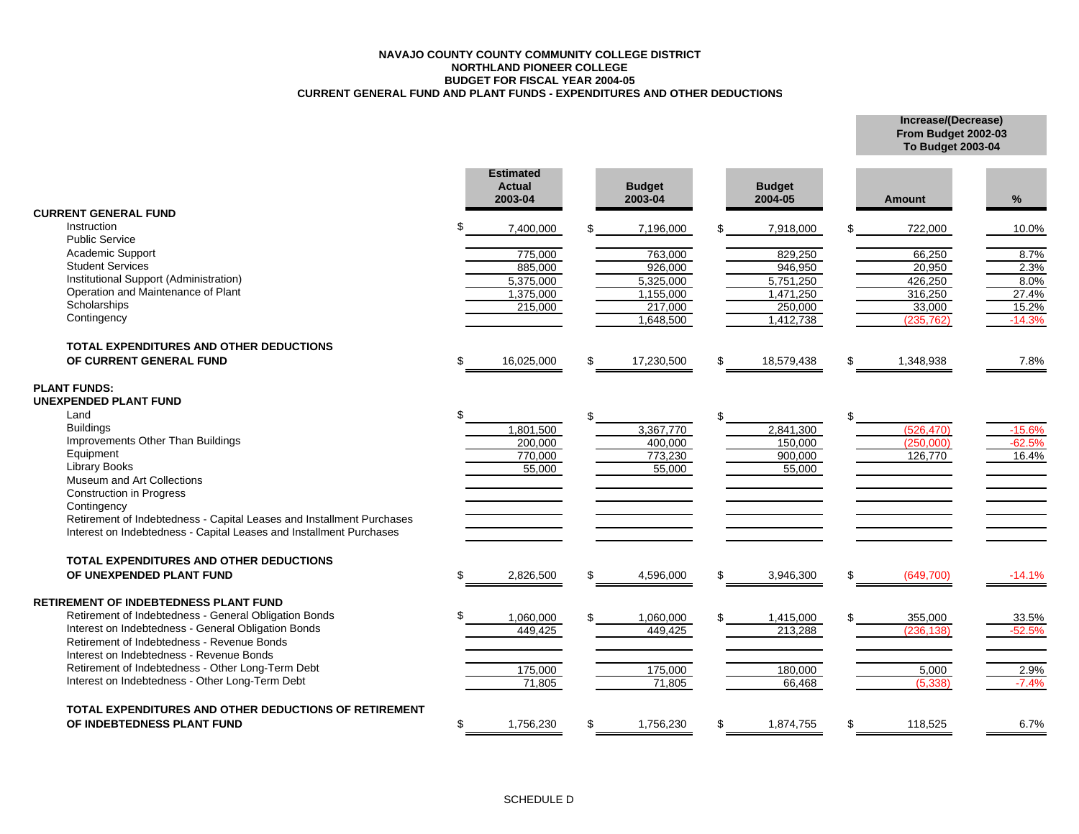#### **NAVAJO COUNTY COUNTY COMMUNITY COLLEGE DISTRICTNORTHLAND PIONEER COLLEGE BUDGET FOR FISCAL YEAR 2004-05 CURRENT GENERAL FUND AND PLANT FUNDS - EXPENDITURES AND OTHER DEDUCTIONS**

**Increase/(Decrease) From Budget 2002-03 To Budget 2003-04**

|                                                                       |     | <b>Estimated</b><br><b>Actual</b><br>2003-04 |     | <b>Budget</b><br>2003-04 |    | <b>Budget</b><br>2004-05 |     | Amount     | $\%$     |
|-----------------------------------------------------------------------|-----|----------------------------------------------|-----|--------------------------|----|--------------------------|-----|------------|----------|
| <b>CURRENT GENERAL FUND</b>                                           |     |                                              |     |                          |    |                          |     |            |          |
| Instruction                                                           |     | 7,400,000                                    |     | 7,196,000                |    | 7,918,000                |     | 722,000    | 10.0%    |
| <b>Public Service</b>                                                 |     |                                              |     |                          |    |                          |     |            |          |
| Academic Support                                                      |     | 775,000                                      |     | 763,000                  |    | 829,250                  |     | 66,250     | 8.7%     |
| <b>Student Services</b>                                               |     | 885,000                                      |     | 926,000                  |    | 946,950                  |     | 20,950     | 2.3%     |
| Institutional Support (Administration)                                |     | 5,375,000                                    |     | 5,325,000                |    | 5,751,250                |     | 426,250    | 8.0%     |
| Operation and Maintenance of Plant                                    |     | 1,375,000                                    |     | 1,155,000                |    | 1,471,250                |     | 316,250    | 27.4%    |
| Scholarships                                                          |     | 215,000                                      |     | 217,000                  |    | 250,000                  |     | 33,000     | 15.2%    |
| Contingency                                                           |     |                                              |     | 1,648,500                |    | 1,412,738                |     | (235, 762) | $-14.3%$ |
| <b>TOTAL EXPENDITURES AND OTHER DEDUCTIONS</b>                        |     |                                              |     |                          |    |                          |     |            |          |
| OF CURRENT GENERAL FUND                                               | \$  | 16,025,000                                   | \$. | 17,230,500               | \$ | 18,579,438               | \$  | 1,348,938  | 7.8%     |
| <b>PLANT FUNDS:</b>                                                   |     |                                              |     |                          |    |                          |     |            |          |
| UNEXPENDED PLANT FUND                                                 |     |                                              |     |                          |    |                          |     |            |          |
| Land                                                                  |     |                                              | \$  |                          |    |                          | \$  |            |          |
| <b>Buildings</b>                                                      |     | 1,801,500                                    |     | 3,367,770                |    | 2,841,300                |     | (526.470)  | $-15.6%$ |
| Improvements Other Than Buildings                                     |     | 200,000                                      |     | 400,000                  |    | 150,000                  |     | (250,000)  | $-62.5%$ |
| Equipment                                                             |     | 770,000                                      |     | 773,230                  |    | 900,000                  |     | 126,770    | 16.4%    |
| <b>Library Books</b>                                                  |     | 55,000                                       |     | 55,000                   |    | 55,000                   |     |            |          |
| Museum and Art Collections                                            |     |                                              |     |                          |    |                          |     |            |          |
| <b>Construction in Progress</b>                                       |     |                                              |     |                          |    |                          |     |            |          |
| Contingency                                                           |     |                                              |     |                          |    |                          |     |            |          |
| Retirement of Indebtedness - Capital Leases and Installment Purchases |     |                                              |     |                          |    |                          |     |            |          |
| Interest on Indebtedness - Capital Leases and Installment Purchases   |     |                                              |     |                          |    |                          |     |            |          |
| <b>TOTAL EXPENDITURES AND OTHER DEDUCTIONS</b>                        |     |                                              |     |                          |    |                          |     |            |          |
| OF UNEXPENDED PLANT FUND                                              | \$. | 2,826,500                                    | \$. | 4,596,000                | £. | 3,946,300                | \$. | (649,700)  | $-14.1%$ |
|                                                                       |     |                                              |     |                          |    |                          |     |            |          |
| RETIREMENT OF INDEBTEDNESS PLANT FUND                                 |     |                                              |     |                          |    |                          |     |            |          |
| Retirement of Indebtedness - General Obligation Bonds                 |     | 1,060,000                                    |     | 1,060,000                |    | 1,415,000                |     | 355,000    | 33.5%    |
| Interest on Indebtedness - General Obligation Bonds                   |     | 449,425                                      |     | 449,425                  |    | 213,288                  |     | (236, 138) | $-52.5%$ |
| Retirement of Indebtedness - Revenue Bonds                            |     |                                              |     |                          |    |                          |     |            |          |
| Interest on Indebtedness - Revenue Bonds                              |     |                                              |     |                          |    |                          |     |            |          |
| Retirement of Indebtedness - Other Long-Term Debt                     |     | 175,000                                      |     | 175,000                  |    | 180,000                  |     | 5,000      | 2.9%     |
| Interest on Indebtedness - Other Long-Term Debt                       |     | 71,805                                       |     | 71,805                   |    | 66,468                   |     | (5.338)    | $-7.4%$  |
| TOTAL EXPENDITURES AND OTHER DEDUCTIONS OF RETIREMENT                 |     |                                              |     |                          |    |                          |     |            |          |
| OF INDEBTEDNESS PLANT FUND                                            | \$  | 1,756,230                                    | \$. | 1,756,230                | £. | 1,874,755                | \$  | 118,525    | 6.7%     |
|                                                                       |     |                                              |     |                          |    |                          |     |            |          |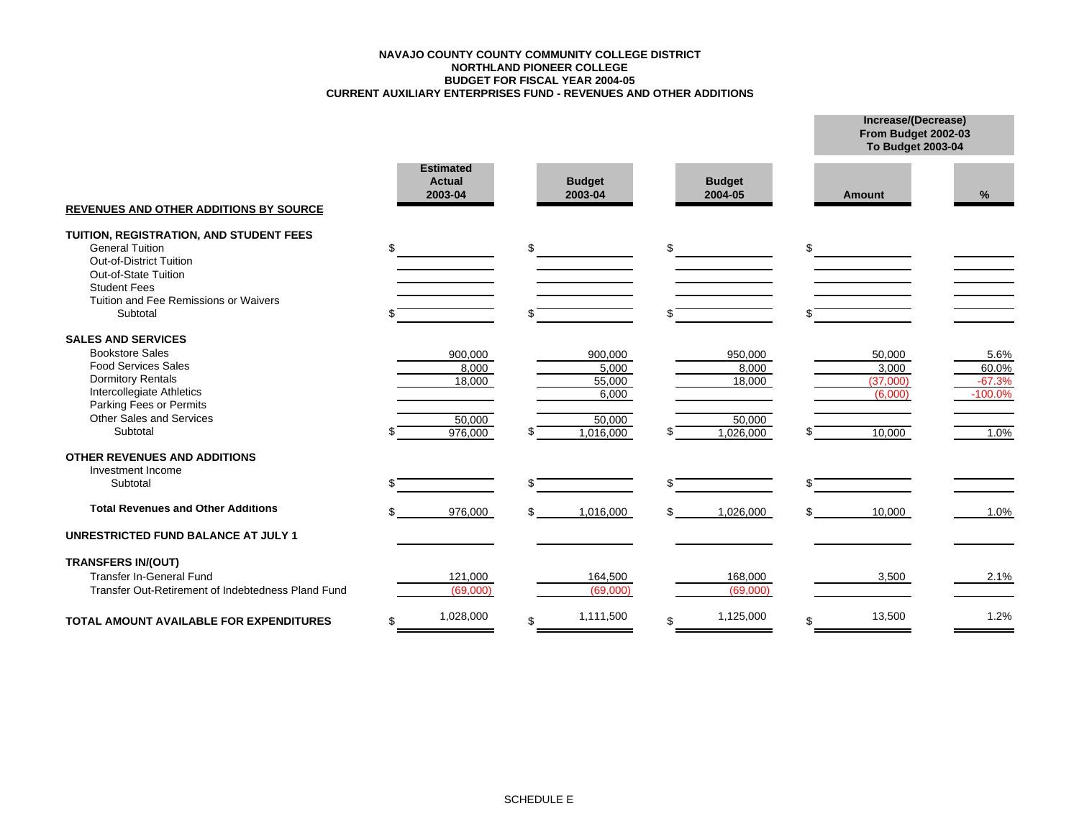#### **CURRENT AUXILIARY ENTERPRISES FUND - REVENUES AND OTHER ADDITIONS BUDGET FOR FISCAL YEAR 2004-05 NORTHLAND PIONEER COLLEGE NAVAJO COUNTY COUNTY COMMUNITY COLLEGE DISTRICT**

|                                                                                                                                                                                      |                                              |                                     |                            | From Budget 2002-03<br><b>To Budget 2003-04</b> |                                        |
|--------------------------------------------------------------------------------------------------------------------------------------------------------------------------------------|----------------------------------------------|-------------------------------------|----------------------------|-------------------------------------------------|----------------------------------------|
| <b>REVENUES AND OTHER ADDITIONS BY SOURCE</b>                                                                                                                                        | <b>Estimated</b><br><b>Actual</b><br>2003-04 | <b>Budget</b><br>2003-04            | <b>Budget</b><br>2004-05   | <b>Amount</b>                                   | %                                      |
| TUITION, REGISTRATION, AND STUDENT FEES<br><b>General Tuition</b><br>Out-of-District Tuition<br>Out-of-State Tuition<br><b>Student Fees</b><br>Tuition and Fee Remissions or Waivers | \$                                           | \$                                  | \$                         | \$                                              |                                        |
| Subtotal                                                                                                                                                                             |                                              |                                     |                            |                                                 |                                        |
| <b>SALES AND SERVICES</b>                                                                                                                                                            |                                              |                                     |                            |                                                 |                                        |
| <b>Bookstore Sales</b><br><b>Food Services Sales</b><br><b>Dormitory Rentals</b><br>Intercollegiate Athletics<br>Parking Fees or Permits<br><b>Other Sales and Services</b>          | 900,000<br>8,000<br>18,000                   | 900,000<br>5,000<br>55,000<br>6,000 | 950,000<br>8,000<br>18,000 | 50,000<br>3,000<br>(37,000)<br>(6,000)          | 5.6%<br>60.0%<br>$-67.3%$<br>$-100.0%$ |
| Subtotal                                                                                                                                                                             | 50,000<br>976,000                            | 50,000<br>1,016,000                 | 50,000<br>1,026,000        | 10,000                                          | 1.0%                                   |
| <b>OTHER REVENUES AND ADDITIONS</b><br>Investment Income                                                                                                                             |                                              |                                     |                            |                                                 |                                        |
| Subtotal                                                                                                                                                                             |                                              |                                     |                            | \$                                              |                                        |
| <b>Total Revenues and Other Additions</b>                                                                                                                                            | 976,000                                      | 1,016,000                           | \$<br>1,026,000            | \$<br>10,000                                    | 1.0%                                   |
| <b>UNRESTRICTED FUND BALANCE AT JULY 1</b>                                                                                                                                           |                                              |                                     |                            |                                                 |                                        |
| <b>TRANSFERS IN/(OUT)</b>                                                                                                                                                            |                                              |                                     |                            |                                                 |                                        |
| Transfer In-General Fund<br>Transfer Out-Retirement of Indebtedness Pland Fund                                                                                                       | 121,000<br>(69,000)                          | 164,500<br>(69,000)                 | 168,000<br>(69,000)        | 3,500                                           | 2.1%                                   |
| <b>TOTAL AMOUNT AVAILABLE FOR EXPENDITURES</b>                                                                                                                                       | \$<br>1,028,000                              | \$<br>1,111,500                     | \$<br>1,125,000            | \$<br>13,500                                    | 1.2%                                   |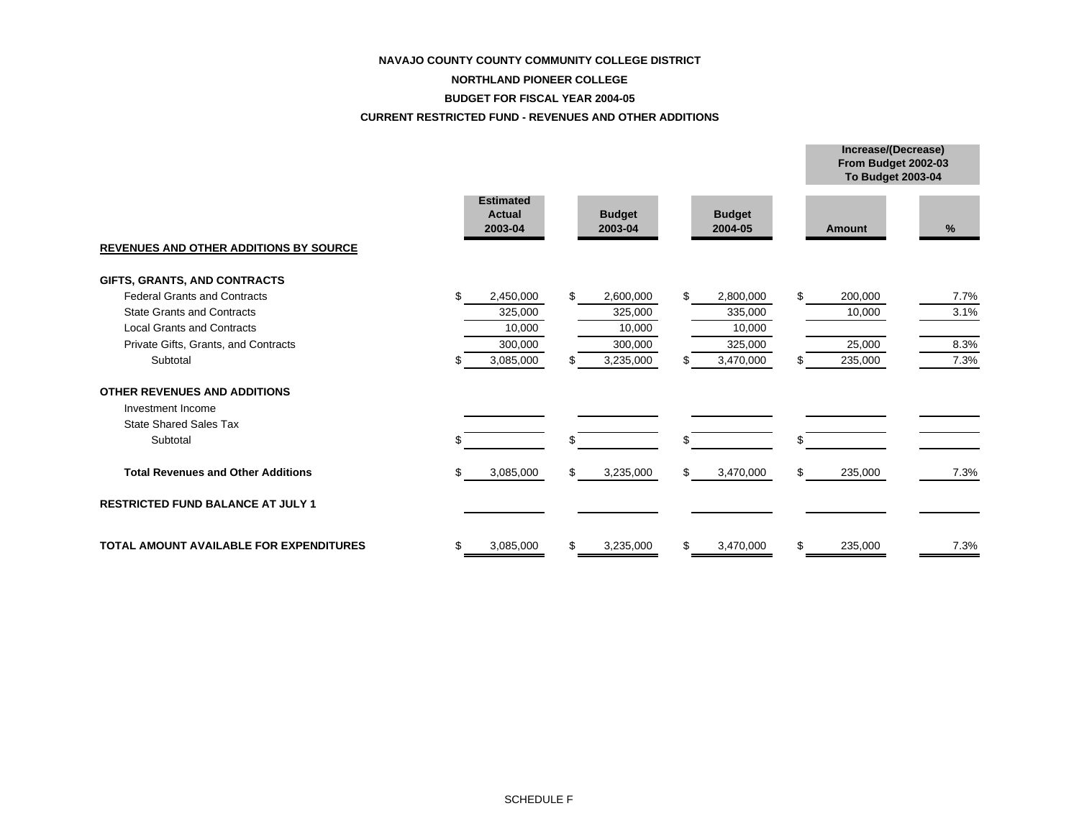#### **NAVAJO COUNTY COUNTY COMMUNITY COLLEGE DISTRICT**

#### **NORTHLAND PIONEER COLLEGE**

#### **BUDGET FOR FISCAL YEAR 2004-05**

#### **CURRENT RESTRICTED FUND - REVENUES AND OTHER ADDITIONS**

|                                                |                                              |                          |                          | From Budget 2002-03<br><b>To Budget 2003-04</b> |      |
|------------------------------------------------|----------------------------------------------|--------------------------|--------------------------|-------------------------------------------------|------|
| <b>REVENUES AND OTHER ADDITIONS BY SOURCE</b>  | <b>Estimated</b><br><b>Actual</b><br>2003-04 | <b>Budget</b><br>2003-04 | <b>Budget</b><br>2004-05 | Amount                                          | %    |
| GIFTS, GRANTS, AND CONTRACTS                   |                                              |                          |                          |                                                 |      |
| <b>Federal Grants and Contracts</b>            | \$.<br>2,450,000                             | \$<br>2,600,000          | 2,800,000<br>\$          | \$<br>200,000                                   | 7.7% |
| <b>State Grants and Contracts</b>              | 325,000                                      | 325,000                  | 335,000                  | 10,000                                          | 3.1% |
| <b>Local Grants and Contracts</b>              | 10,000                                       | 10,000                   | 10,000                   |                                                 |      |
| Private Gifts, Grants, and Contracts           | 300,000                                      | 300,000                  | 325,000                  | 25,000                                          | 8.3% |
| Subtotal                                       | 3,085,000<br>S                               | 3,235,000<br>S           | 3,470,000                | 235,000<br>\$.                                  | 7.3% |
| <b>OTHER REVENUES AND ADDITIONS</b>            |                                              |                          |                          |                                                 |      |
| Investment Income                              |                                              |                          |                          |                                                 |      |
| <b>State Shared Sales Tax</b>                  |                                              |                          |                          |                                                 |      |
| Subtotal                                       |                                              | \$                       | \$                       | \$                                              |      |
| <b>Total Revenues and Other Additions</b>      | \$.<br>3,085,000                             | \$<br>3,235,000          | \$<br>3,470,000          | \$<br>235,000                                   | 7.3% |
| <b>RESTRICTED FUND BALANCE AT JULY 1</b>       |                                              |                          |                          |                                                 |      |
| <b>TOTAL AMOUNT AVAILABLE FOR EXPENDITURES</b> | 3,085,000<br>S                               | 3,235,000<br>\$          | 3,470,000<br>\$          | \$<br>235,000                                   | 7.3% |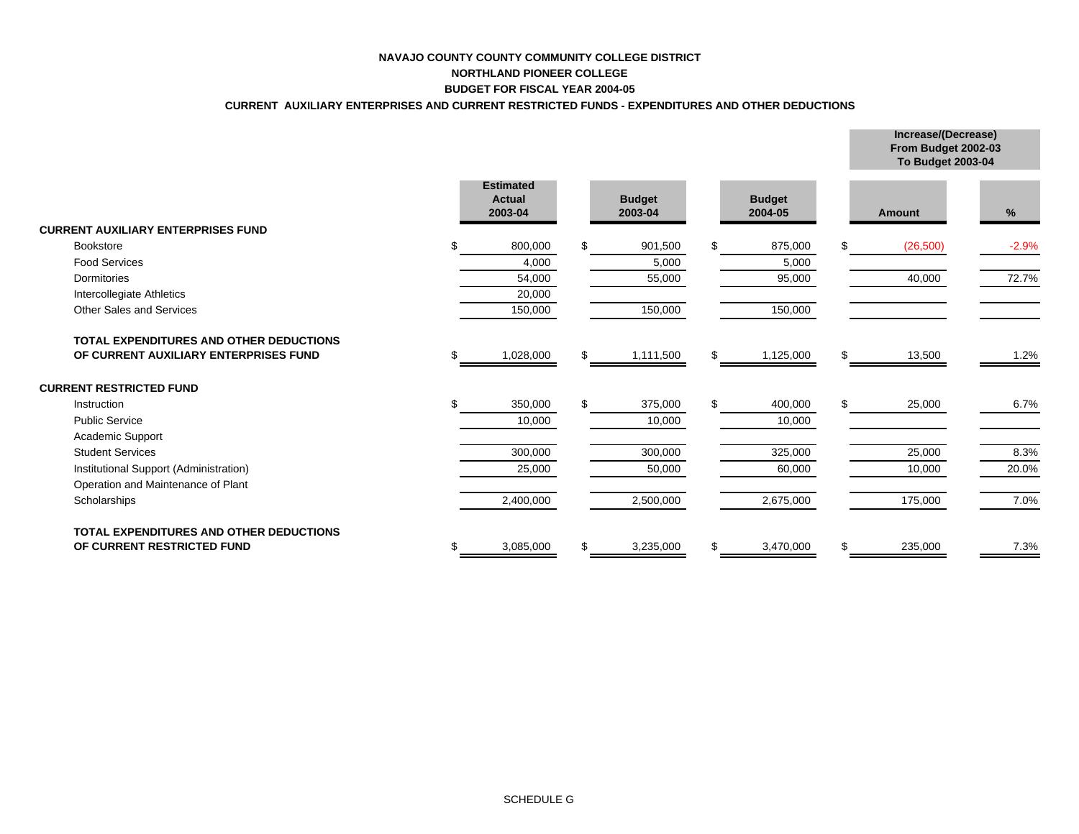## **NAVAJO COUNTY COUNTY COMMUNITY COLLEGE DISTRICTNORTHLAND PIONEER COLLEGE BUDGET FOR FISCAL YEAR 2004-05**

## **CURRENT AUXILIARY ENTERPRISES AND CURRENT RESTRICTED FUNDS - EXPENDITURES AND OTHER DEDUCTIONS**

|                                                |                                              |     |                          |     |                          | From Budget 2002-03<br><b>To Budget 2003-04</b> |         |
|------------------------------------------------|----------------------------------------------|-----|--------------------------|-----|--------------------------|-------------------------------------------------|---------|
|                                                | <b>Estimated</b><br><b>Actual</b><br>2003-04 |     | <b>Budget</b><br>2003-04 |     | <b>Budget</b><br>2004-05 | <b>Amount</b>                                   | $\%$    |
| <b>CURRENT AUXILIARY ENTERPRISES FUND</b>      |                                              |     |                          |     |                          |                                                 |         |
| <b>Bookstore</b>                               | 800,000                                      | \$. | 901,500                  | £.  | 875,000                  | \$<br>(26, 500)                                 | $-2.9%$ |
| <b>Food Services</b>                           | 4,000                                        |     | 5,000                    |     | 5,000                    |                                                 |         |
| Dormitories                                    | 54,000                                       |     | 55,000                   |     | 95,000                   | 40,000                                          | 72.7%   |
| Intercollegiate Athletics                      | 20,000                                       |     |                          |     |                          |                                                 |         |
| <b>Other Sales and Services</b>                | 150,000                                      |     | 150,000                  |     | 150,000                  |                                                 |         |
| <b>TOTAL EXPENDITURES AND OTHER DEDUCTIONS</b> |                                              |     |                          |     |                          |                                                 |         |
| OF CURRENT AUXILIARY ENTERPRISES FUND          | 1,028,000                                    | SS. | 1,111,500                | \$. | 1,125,000                | \$<br>13,500                                    | 1.2%    |
| <b>CURRENT RESTRICTED FUND</b>                 |                                              |     |                          |     |                          |                                                 |         |
| Instruction                                    | 350,000                                      | \$. | 375,000                  | \$. | 400,000                  | \$<br>25,000                                    | 6.7%    |
| <b>Public Service</b>                          | 10,000                                       |     | 10,000                   |     | 10,000                   |                                                 |         |
| Academic Support                               |                                              |     |                          |     |                          |                                                 |         |
| <b>Student Services</b>                        | 300,000                                      |     | 300,000                  |     | 325,000                  | 25,000                                          | 8.3%    |
| Institutional Support (Administration)         | 25,000                                       |     | 50,000                   |     | 60,000                   | 10,000                                          | 20.0%   |
| Operation and Maintenance of Plant             |                                              |     |                          |     |                          |                                                 |         |
| Scholarships                                   | 2,400,000                                    |     | 2,500,000                |     | 2,675,000                | 175,000                                         | 7.0%    |
| <b>TOTAL EXPENDITURES AND OTHER DEDUCTIONS</b> |                                              |     |                          |     |                          |                                                 |         |
| OF CURRENT RESTRICTED FUND                     | 3,085,000                                    |     | 3,235,000                | \$  | 3,470,000                | \$<br>235,000                                   | 7.3%    |